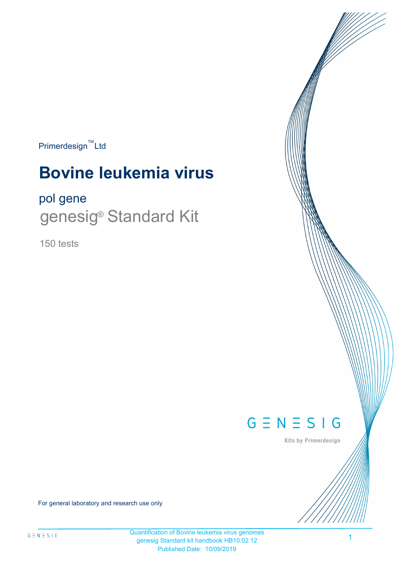$Primerdesign^{\text{TM}}$ Ltd

# **Bovine leukemia virus**

# pol gene

genesig<sup>®</sup> Standard Kit

150 tests



Kits by Primerdesign

For general laboratory and research use only

Quantification of Bovine leukemia virus genomes genesig Standard kit handbook HB10.02.12 Published Date: 10/09/2019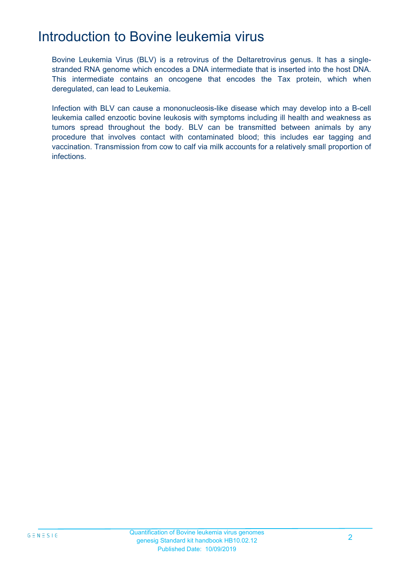# Introduction to Bovine leukemia virus

Bovine Leukemia Virus (BLV) is a retrovirus of the Deltaretrovirus genus. It has a singlestranded RNA genome which encodes a DNA intermediate that is inserted into the host DNA. This intermediate contains an oncogene that encodes the Tax protein, which when deregulated, can lead to Leukemia.

Infection with BLV can cause a mononucleosis-like disease which may develop into a B-cell leukemia called enzootic bovine leukosis with symptoms including ill health and weakness as tumors spread throughout the body. BLV can be transmitted between animals by any procedure that involves contact with contaminated blood; this includes ear tagging and vaccination. Transmission from cow to calf via milk accounts for a relatively small proportion of infections.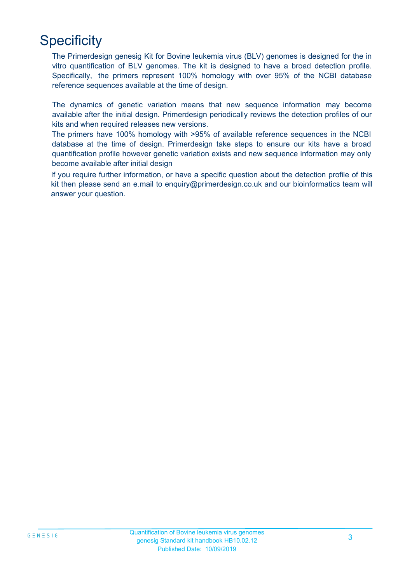# **Specificity**

The Primerdesign genesig Kit for Bovine leukemia virus (BLV) genomes is designed for the in vitro quantification of BLV genomes. The kit is designed to have a broad detection profile. Specifically, the primers represent 100% homology with over 95% of the NCBI database reference sequences available at the time of design.

The dynamics of genetic variation means that new sequence information may become available after the initial design. Primerdesign periodically reviews the detection profiles of our kits and when required releases new versions.

The primers have 100% homology with >95% of available reference sequences in the NCBI database at the time of design. Primerdesign take steps to ensure our kits have a broad quantification profile however genetic variation exists and new sequence information may only become available after initial design

If you require further information, or have a specific question about the detection profile of this kit then please send an e.mail to enquiry@primerdesign.co.uk and our bioinformatics team will answer your question.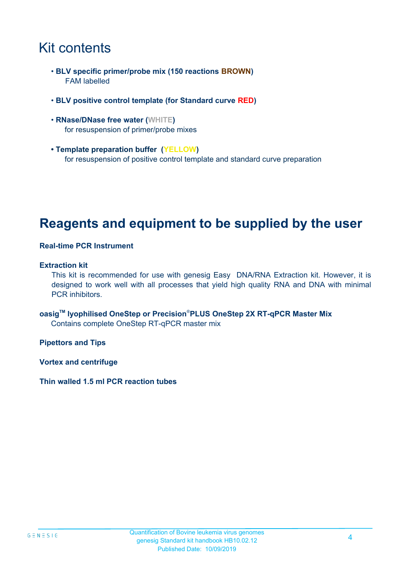# Kit contents

- **BLV specific primer/probe mix (150 reactions BROWN)** FAM labelled
- **BLV positive control template (for Standard curve RED)**
- **RNase/DNase free water (WHITE)** for resuspension of primer/probe mixes
- **Template preparation buffer (YELLOW)** for resuspension of positive control template and standard curve preparation

### **Reagents and equipment to be supplied by the user**

#### **Real-time PCR Instrument**

#### **Extraction kit**

This kit is recommended for use with genesig Easy DNA/RNA Extraction kit. However, it is designed to work well with all processes that yield high quality RNA and DNA with minimal PCR inhibitors.

**oasigTM lyophilised OneStep or Precision**®**PLUS OneStep 2X RT-qPCR Master Mix** Contains complete OneStep RT-qPCR master mix

**Pipettors and Tips**

**Vortex and centrifuge**

**Thin walled 1.5 ml PCR reaction tubes**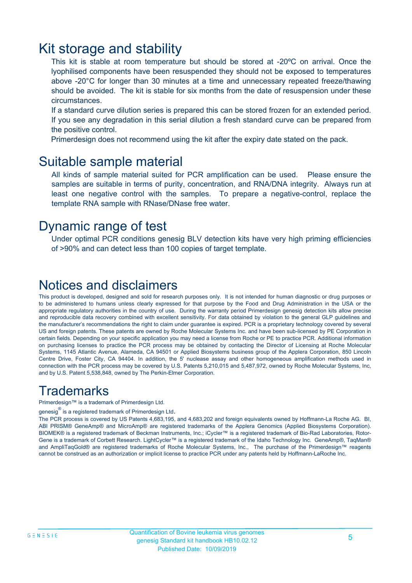### Kit storage and stability

This kit is stable at room temperature but should be stored at -20ºC on arrival. Once the lyophilised components have been resuspended they should not be exposed to temperatures above -20°C for longer than 30 minutes at a time and unnecessary repeated freeze/thawing should be avoided. The kit is stable for six months from the date of resuspension under these circumstances.

If a standard curve dilution series is prepared this can be stored frozen for an extended period. If you see any degradation in this serial dilution a fresh standard curve can be prepared from the positive control.

Primerdesign does not recommend using the kit after the expiry date stated on the pack.

### Suitable sample material

All kinds of sample material suited for PCR amplification can be used. Please ensure the samples are suitable in terms of purity, concentration, and RNA/DNA integrity. Always run at least one negative control with the samples. To prepare a negative-control, replace the template RNA sample with RNase/DNase free water.

### Dynamic range of test

Under optimal PCR conditions genesig BLV detection kits have very high priming efficiencies of >90% and can detect less than 100 copies of target template.

### Notices and disclaimers

This product is developed, designed and sold for research purposes only. It is not intended for human diagnostic or drug purposes or to be administered to humans unless clearly expressed for that purpose by the Food and Drug Administration in the USA or the appropriate regulatory authorities in the country of use. During the warranty period Primerdesign genesig detection kits allow precise and reproducible data recovery combined with excellent sensitivity. For data obtained by violation to the general GLP guidelines and the manufacturer's recommendations the right to claim under guarantee is expired. PCR is a proprietary technology covered by several US and foreign patents. These patents are owned by Roche Molecular Systems Inc. and have been sub-licensed by PE Corporation in certain fields. Depending on your specific application you may need a license from Roche or PE to practice PCR. Additional information on purchasing licenses to practice the PCR process may be obtained by contacting the Director of Licensing at Roche Molecular Systems, 1145 Atlantic Avenue, Alameda, CA 94501 or Applied Biosystems business group of the Applera Corporation, 850 Lincoln Centre Drive, Foster City, CA 94404. In addition, the 5' nuclease assay and other homogeneous amplification methods used in connection with the PCR process may be covered by U.S. Patents 5,210,015 and 5,487,972, owned by Roche Molecular Systems, Inc, and by U.S. Patent 5,538,848, owned by The Perkin-Elmer Corporation.

### **Trademarks**

Primerdesign™ is a trademark of Primerdesign Ltd.

genesig $^\circledR$  is a registered trademark of Primerdesign Ltd.

The PCR process is covered by US Patents 4,683,195, and 4,683,202 and foreign equivalents owned by Hoffmann-La Roche AG. BI, ABI PRISM® GeneAmp® and MicroAmp® are registered trademarks of the Applera Genomics (Applied Biosystems Corporation). BIOMEK® is a registered trademark of Beckman Instruments, Inc.; iCycler™ is a registered trademark of Bio-Rad Laboratories, Rotor-Gene is a trademark of Corbett Research. LightCycler™ is a registered trademark of the Idaho Technology Inc. GeneAmp®, TaqMan® and AmpliTaqGold® are registered trademarks of Roche Molecular Systems, Inc., The purchase of the Primerdesign™ reagents cannot be construed as an authorization or implicit license to practice PCR under any patents held by Hoffmann-LaRoche Inc.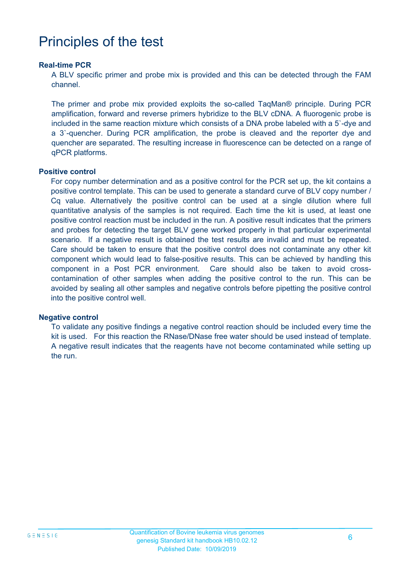# Principles of the test

#### **Real-time PCR**

A BLV specific primer and probe mix is provided and this can be detected through the FAM channel.

The primer and probe mix provided exploits the so-called TaqMan® principle. During PCR amplification, forward and reverse primers hybridize to the BLV cDNA. A fluorogenic probe is included in the same reaction mixture which consists of a DNA probe labeled with a 5`-dye and a 3`-quencher. During PCR amplification, the probe is cleaved and the reporter dye and quencher are separated. The resulting increase in fluorescence can be detected on a range of qPCR platforms.

#### **Positive control**

For copy number determination and as a positive control for the PCR set up, the kit contains a positive control template. This can be used to generate a standard curve of BLV copy number / Cq value. Alternatively the positive control can be used at a single dilution where full quantitative analysis of the samples is not required. Each time the kit is used, at least one positive control reaction must be included in the run. A positive result indicates that the primers and probes for detecting the target BLV gene worked properly in that particular experimental scenario. If a negative result is obtained the test results are invalid and must be repeated. Care should be taken to ensure that the positive control does not contaminate any other kit component which would lead to false-positive results. This can be achieved by handling this component in a Post PCR environment. Care should also be taken to avoid crosscontamination of other samples when adding the positive control to the run. This can be avoided by sealing all other samples and negative controls before pipetting the positive control into the positive control well.

#### **Negative control**

To validate any positive findings a negative control reaction should be included every time the kit is used. For this reaction the RNase/DNase free water should be used instead of template. A negative result indicates that the reagents have not become contaminated while setting up the run.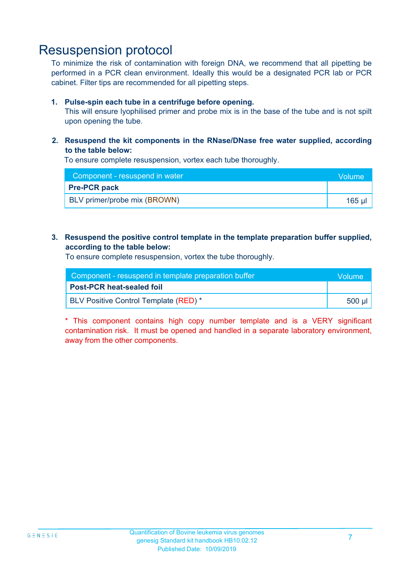### Resuspension protocol

To minimize the risk of contamination with foreign DNA, we recommend that all pipetting be performed in a PCR clean environment. Ideally this would be a designated PCR lab or PCR cabinet. Filter tips are recommended for all pipetting steps.

#### **1. Pulse-spin each tube in a centrifuge before opening.**

This will ensure lyophilised primer and probe mix is in the base of the tube and is not spilt upon opening the tube.

**2. Resuspend the kit components in the RNase/DNase free water supplied, according to the table below:**

To ensure complete resuspension, vortex each tube thoroughly.

| Component - resuspend in water | <b>Volume</b> |
|--------------------------------|---------------|
| <b>Pre-PCR pack</b>            |               |
| BLV primer/probe mix (BROWN)   | 165 ul        |

#### **3. Resuspend the positive control template in the template preparation buffer supplied, according to the table below:**

To ensure complete resuspension, vortex the tube thoroughly.

| Component - resuspend in template preparation buffer |           |  |
|------------------------------------------------------|-----------|--|
| <b>Post-PCR heat-sealed foil</b>                     |           |  |
| <b>BLV Positive Control Template (RED)</b> *         | .500 µl ' |  |

\* This component contains high copy number template and is a VERY significant contamination risk. It must be opened and handled in a separate laboratory environment, away from the other components.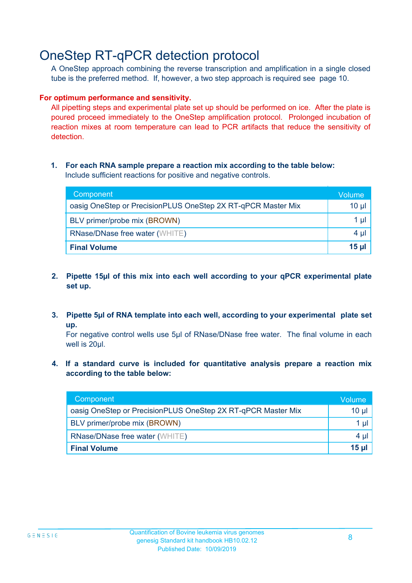# OneStep RT-qPCR detection protocol

A OneStep approach combining the reverse transcription and amplification in a single closed tube is the preferred method. If, however, a two step approach is required see page 10.

#### **For optimum performance and sensitivity.**

All pipetting steps and experimental plate set up should be performed on ice. After the plate is poured proceed immediately to the OneStep amplification protocol. Prolonged incubation of reaction mixes at room temperature can lead to PCR artifacts that reduce the sensitivity of detection.

#### **1. For each RNA sample prepare a reaction mix according to the table below:** Include sufficient reactions for positive and negative controls.

| Component                                                    | Volume       |
|--------------------------------------------------------------|--------------|
| oasig OneStep or PrecisionPLUS OneStep 2X RT-qPCR Master Mix | $10 \mu$     |
| BLV primer/probe mix (BROWN)                                 | 1 µl         |
| <b>RNase/DNase free water (WHITE)</b>                        | $4 \mu$      |
| <b>Final Volume</b>                                          | <u>15 µl</u> |

- **2. Pipette 15µl of this mix into each well according to your qPCR experimental plate set up.**
- **3. Pipette 5µl of RNA template into each well, according to your experimental plate set up.**

For negative control wells use 5µl of RNase/DNase free water. The final volume in each well is 20ul.

**4. If a standard curve is included for quantitative analysis prepare a reaction mix according to the table below:**

| Component                                                    | Volume          |
|--------------------------------------------------------------|-----------------|
| oasig OneStep or PrecisionPLUS OneStep 2X RT-qPCR Master Mix | 10 <sub>µ</sub> |
| BLV primer/probe mix (BROWN)                                 | 1 µl            |
| <b>RNase/DNase free water (WHITE)</b>                        | $4 \mu$         |
| <b>Final Volume</b>                                          | $15$ µ          |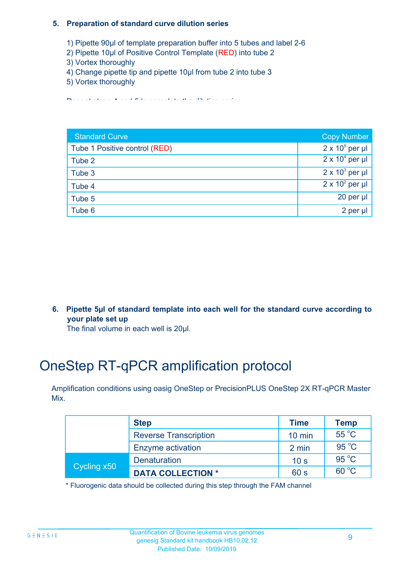#### **5. Preparation of standard curve dilution series**

- 1) Pipette 90µl of template preparation buffer into 5 tubes and label 2-6
- 2) Pipette 10µl of Positive Control Template (RED) into tube 2
- 3) Vortex thoroughly
- 4) Change pipette tip and pipette 10µl from tube 2 into tube 3
- 5) Vortex thoroughly

Repeat steps 4 and 5 to complete the dilution series

| <b>Standard Curve</b>         | <b>Copy Number</b>     |
|-------------------------------|------------------------|
| Tube 1 Positive control (RED) | $2 \times 10^5$ per µl |
| Tube 2                        | $2 \times 10^4$ per µl |
| Tube 3                        | $2 \times 10^3$ per µl |
| Tube 4                        | $2 \times 10^2$ per µl |
| Tube 5                        | $20$ per $\mu$         |
| Tube 6                        | 2 per µl               |

**6. Pipette 5µl of standard template into each well for the standard curve according to your plate set up**

The final volume in each well is 20µl.

# OneStep RT-qPCR amplification protocol

Amplification conditions using oasig OneStep or PrecisionPLUS OneStep 2X RT-qPCR Master Mix.

|             | <b>Step</b>                  | <b>Time</b>     | <b>Temp</b>    |
|-------------|------------------------------|-----------------|----------------|
|             | <b>Reverse Transcription</b> | $10$ min        | $55^{\circ}$ C |
|             | Enzyme activation            | 2 min           | $95^{\circ}$ C |
| Cycling x50 | <b>Denaturation</b>          | 10 <sub>s</sub> | $95^{\circ}$ C |
|             | <b>DATA COLLECTION *</b>     | 60 s            | $60^{\circ}$ C |

\* Fluorogenic data should be collected during this step through the FAM channel